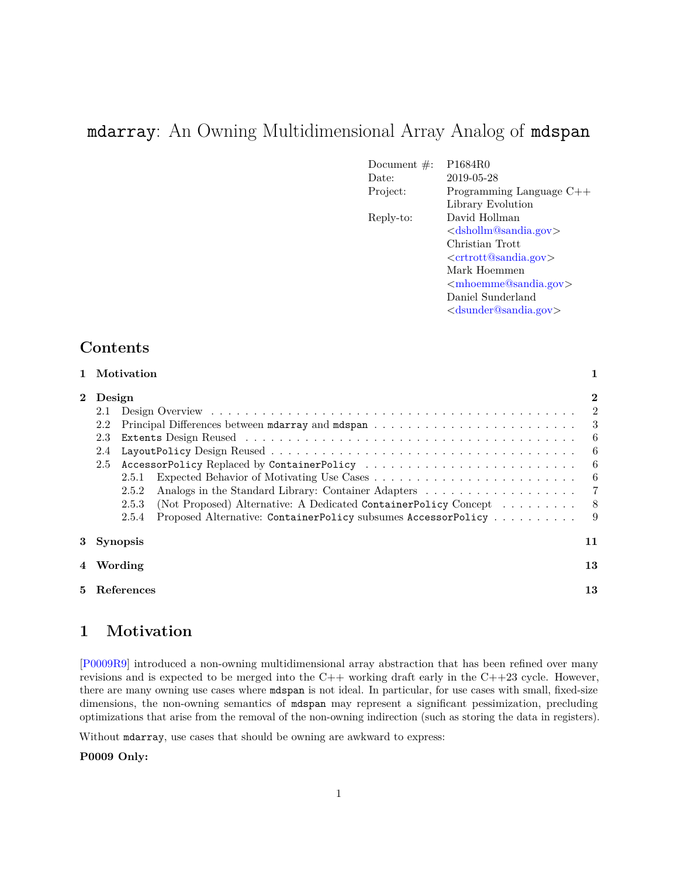# mdarray: An Owning Multidimensional Array Analog of mdspan

| Document $\#$ : | P1684R0                                |
|-----------------|----------------------------------------|
| Date:           | 2019-05-28                             |
| Project:        | Programming Language $C++$             |
|                 | Library Evolution                      |
| Reply-to:       | David Hollman                          |
|                 | $\langle$ dshollm@sandia.gov $\rangle$ |
|                 | Christian Trott                        |
|                 | $\langle$ crtrott@sandia.gov>          |
|                 | Mark Hoemmen                           |
|                 | $\langle$ mhoemme@sandia.gov           |
|                 | Daniel Sunderland                      |
|                 | $<$ dsunder@sandia.gov $>$             |
|                 |                                        |

## **Contents**

|              | Motivation                                        |           |                                                                   |                |
|--------------|---------------------------------------------------|-----------|-------------------------------------------------------------------|----------------|
| $\mathbf{2}$ |                                                   | Design    |                                                                   |                |
|              | 2.1                                               |           |                                                                   | $\overline{2}$ |
| 2.2          |                                                   |           |                                                                   |                |
|              | 2.3                                               |           |                                                                   | -6             |
| 2.4          |                                                   |           |                                                                   | 6              |
|              | AccessorPolicy Replaced by ContainerPolicy<br>2.5 |           |                                                                   | - 6            |
|              |                                                   | 2.5.1     |                                                                   |                |
|              |                                                   | 2.5.2     |                                                                   |                |
|              |                                                   | 2.5.3     | (Not Proposed) Alternative: A Dedicated ContainerPolicy Concept 8 |                |
|              |                                                   | 2.5.4     | Proposed Alternative: ContainerPolicy subsumes AccessorPolicy     | - 9            |
|              | 3 Synopsis                                        |           | 11                                                                |                |
|              |                                                   | 4 Wording |                                                                   | 13             |
| 5.           | References                                        |           |                                                                   | 13             |

## <span id="page-0-0"></span>**1 Motivation**

[\[P0009R9\]](#page-12-2) introduced a non-owning multidimensional array abstraction that has been refined over many revisions and is expected to be merged into the  $C++$  working draft early in the  $C++23$  cycle. However, there are many owning use cases where mdspan is not ideal. In particular, for use cases with small, fixed-size dimensions, the non-owning semantics of mdspan may represent a significant pessimization, precluding optimizations that arise from the removal of the non-owning indirection (such as storing the data in registers).

Without mdarray, use cases that should be owning are awkward to express:

#### **P0009 Only:**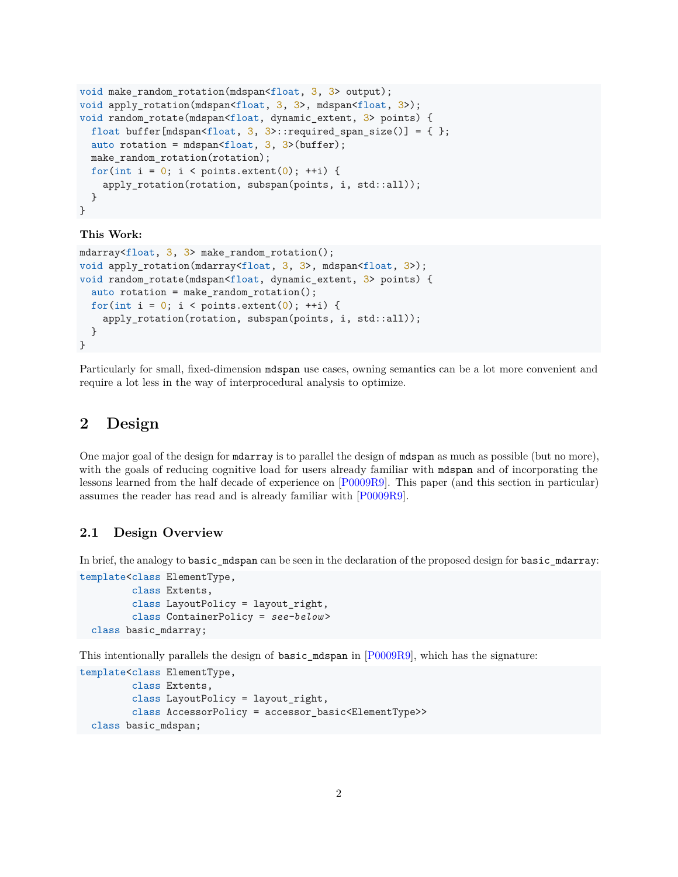```
void make_random_rotation(mdspan<float, 3, 3> output);
void apply_rotation(mdspan<float, 3, 3>, mdspan<float, 3>);
void random_rotate(mdspan<float, dynamic_extent, 3> points) {
 float buffer[mdspan<float, 3, 3>::required span size()] = { };
  auto rotation = mdspan<float, 3, 3>(buffer);
 make random rotation(rotation);
 for(int i = 0; i < points.extent(0); ++i) {
    apply rotation(rotation, subspan(points, i, std::all));
  }
}
```
#### **This Work:**

```
mdarray<float, 3, 3> make_random_rotation();
void apply rotation(mdarray<float, 3, 3), mdspan<float, 3);
void random_rotate(mdspan<float, dynamic_extent, 3> points) {
  auto rotation = make_random_rotation();
  for(int i = 0; i < points.extent(0); ++i) {
    apply_rotation(rotation, subspan(points, i, std::all));
  }
}
```
Particularly for small, fixed-dimension mdspan use cases, owning semantics can be a lot more convenient and require a lot less in the way of interprocedural analysis to optimize.

## <span id="page-1-0"></span>**2 Design**

One major goal of the design for mdarray is to parallel the design of mdspan as much as possible (but no more), with the goals of reducing cognitive load for users already familiar with mdspan and of incorporating the lessons learned from the half decade of experience on [\[P0009R9\]](#page-12-2). This paper (and this section in particular) assumes the reader has read and is already familiar with [\[P0009R9\]](#page-12-2).

#### <span id="page-1-1"></span>**2.1 Design Overview**

In brief, the analogy to basic\_mdspan can be seen in the declaration of the proposed design for basic\_mdarray:

```
template<class ElementType,
         class Extents,
         class LayoutPolicy = layout_right,
         class ContainerPolicy = see-below >
  class basic_mdarray;
```
This intentionally parallels the design of basic\_mdspan in [\[P0009R9\]](#page-12-2), which has the signature:

```
template<class ElementType,
         class Extents,
         class LayoutPolicy = layout_right,
         class AccessorPolicy = accessor_basic<ElementType>>
  class basic_mdspan;
```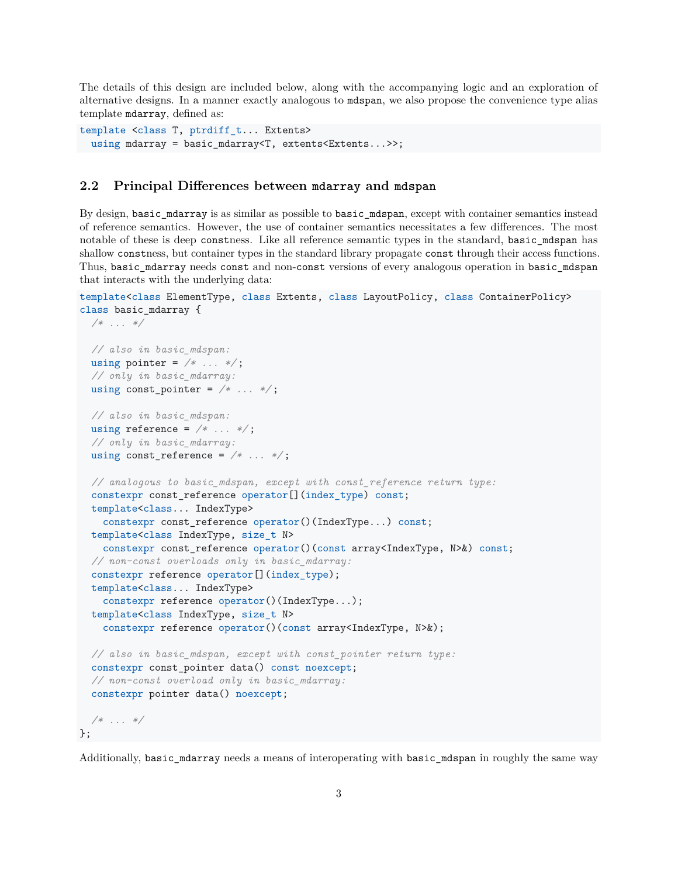The details of this design are included below, along with the accompanying logic and an exploration of alternative designs. In a manner exactly analogous to mdspan, we also propose the convenience type alias template mdarray, defined as:

```
template <class T, ptrdiff t... Extents>
  using mdarray = basic mdarray<T, extents<Extents...>>;
```
#### <span id="page-2-0"></span>**2.2 Principal Differences between mdarray and mdspan**

By design, basic\_mdarray is as similar as possible to basic\_mdspan, except with container semantics instead of reference semantics. However, the use of container semantics necessitates a few differences. The most notable of these is deep constness. Like all reference semantic types in the standard, basic\_mdspan has shallow constness, but container types in the standard library propagate const through their access functions. Thus, basic\_mdarray needs const and non-const versions of every analogous operation in basic\_mdspan that interacts with the underlying data:

```
template<class ElementType, class Extents, class LayoutPolicy, class ContainerPolicy>
class basic_mdarray {
```

```
/* ... */
  // also in basic_mdspan:
  using pointer = /* ... */ ;
  // only in basic_mdarray:
  using const_pointer = /* \dots */// also in basic_mdspan:
  using reference = /* \dots */// only in basic_mdarray:
  using const_reference = /* \dots */// analogous to basic_mdspan, except with const_reference return type:
  constexpr const_reference operator[](index_type) const;
  template<class... IndexType>
    constexpr const_reference operator()(IndexType...) const;
  template<class IndexType, size_t N>
    constexpr const_reference operator()(const array<IndexType, N>&) const;
  // non-const overloads only in basic_mdarray:
  constexpr reference operator[](index_type);
  template<class... IndexType>
    constexpr reference operator()(IndexType...);
  template<class IndexType, size_t N>
    constexpr reference operator()(const array<IndexType, N>&);
  // also in basic_mdspan, except with const_pointer return type:
  constexpr const_pointer data() const noexcept;
  // non-const overload only in basic_mdarray:
  constexpr pointer data() noexcept;
  /* ... */
};
```
Additionally, basic\_mdarray needs a means of interoperating with basic\_mdspan in roughly the same way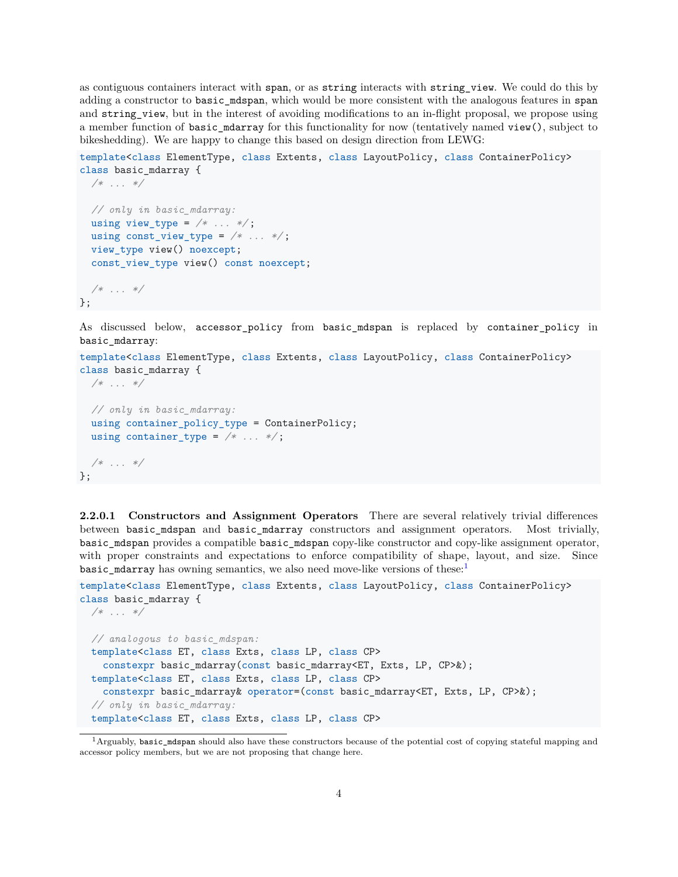as contiguous containers interact with span, or as string interacts with string\_view. We could do this by adding a constructor to basic\_mdspan, which would be more consistent with the analogous features in span and string view, but in the interest of avoiding modifications to an in-flight proposal, we propose using a member function of basic\_mdarray for this functionality for now (tentatively named view(), subject to bikeshedding). We are happy to change this based on design direction from LEWG:

template<class ElementType, class Extents, class LayoutPolicy, class ContainerPolicy> class basic\_mdarray {

```
/* ... */
  // only in basic_mdarray:
  using view_type = /* ... */using const_view_type = /* ... */ ;
 view_type view() noexcept;
  const_view_type view() const noexcept;
/* ... */
};
```
As discussed below, accessor\_policy from basic\_mdspan is replaced by container\_policy in basic\_mdarray:

```
template<class ElementType, class Extents, class LayoutPolicy, class ContainerPolicy>
class basic_mdarray {
```

```
/* ... */
  // only in basic_mdarray:
 using container_policy_type = ContainerPolicy;
 using container_type = /* ... */ ;
 /* ... */
};
```
**2.2.0.1 Constructors and Assignment Operators** There are several relatively trivial differences between basic\_mdspan and basic\_mdarray constructors and assignment operators. Most trivially, basic\_mdspan provides a compatible basic\_mdspan copy-like constructor and copy-like assignment operator, with proper constraints and expectations to enforce compatibility of shape, layout, and size. Since basic\_mdarray has owning semantics, we also need move-like versions of these: $<sup>1</sup>$  $<sup>1</sup>$  $<sup>1</sup>$ </sup>

```
template<class ElementType, class Extents, class LayoutPolicy, class ContainerPolicy>
class basic_mdarray {
 /* ... */
 // analogous to basic_mdspan:
  template<class ET, class Exts, class LP, class CP>
    constexpr basic mdarray(const basic mdarray<ET, Exts, LP, CP>&);
  template<class ET, class Exts, class LP, class CP>
   constexpr basic_mdarray& operator=(const basic_mdarray<ET, Exts, LP, CP>&);
  // only in basic_mdarray:
  template<class ET, class Exts, class LP, class CP>
```
<span id="page-3-0"></span> $1$ Arguably, basic\_mdspan should also have these constructors because of the potential cost of copying stateful mapping and accessor policy members, but we are not proposing that change here.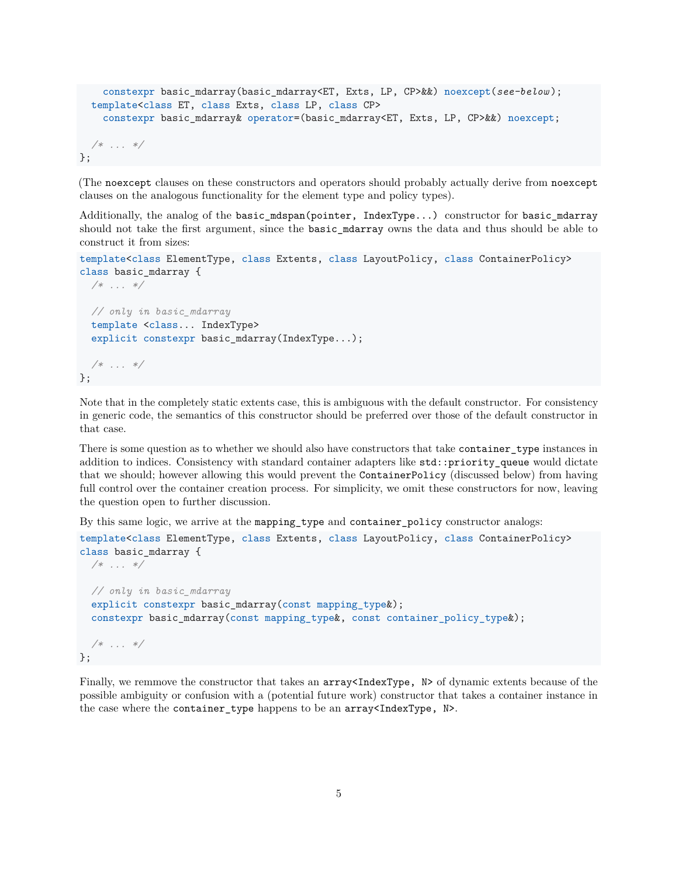```
constexpr basic_mdarray(basic_mdarray<ET, Exts, LP, CP>&&) noexcept(see-below );
  template<class ET, class Exts, class LP, class CP>
    constexpr basic mdarray& operator=(basic mdarray<ET, Exts, LP, CP>&&) noexcept;
 /* ... */
};
```
(The noexcept clauses on these constructors and operators should probably actually derive from noexcept clauses on the analogous functionality for the element type and policy types).

Additionally, the analog of the basic mdspan(pointer, IndexType...) constructor for basic mdarray should not take the first argument, since the basic\_mdarray owns the data and thus should be able to construct it from sizes:

```
template<class ElementType, class Extents, class LayoutPolicy, class ContainerPolicy>
class basic_mdarray {
 /* ... */
 // only in basic_mdarray
 template <class... IndexType>
  explicit constexpr basic mdarray(IndexType...);
 /* ... */
};
```
Note that in the completely static extents case, this is ambiguous with the default constructor. For consistency in generic code, the semantics of this constructor should be preferred over those of the default constructor in that case.

There is some question as to whether we should also have constructors that take container\_type instances in addition to indices. Consistency with standard container adapters like std::priority\_queue would dictate that we should; however allowing this would prevent the ContainerPolicy (discussed below) from having full control over the container creation process. For simplicity, we omit these constructors for now, leaving the question open to further discussion.

By this same logic, we arrive at the mapping\_type and container\_policy constructor analogs:

```
template<class ElementType, class Extents, class LayoutPolicy, class ContainerPolicy>
class basic_mdarray {
 /* ... */
 // only in basic_mdarray
  explicit constexpr basic mdarray(const mapping type );
  constexpr basic_mdarray(const mapping_type&, const container_policy_type&);
 /* ... */
};
```
Finally, we remmove the constructor that takes an  $array{5 \leq}$   $N > 0$  dynamic extents because of the possible ambiguity or confusion with a (potential future work) constructor that takes a container instance in the case where the container\_type happens to be an array<IndexType, N>.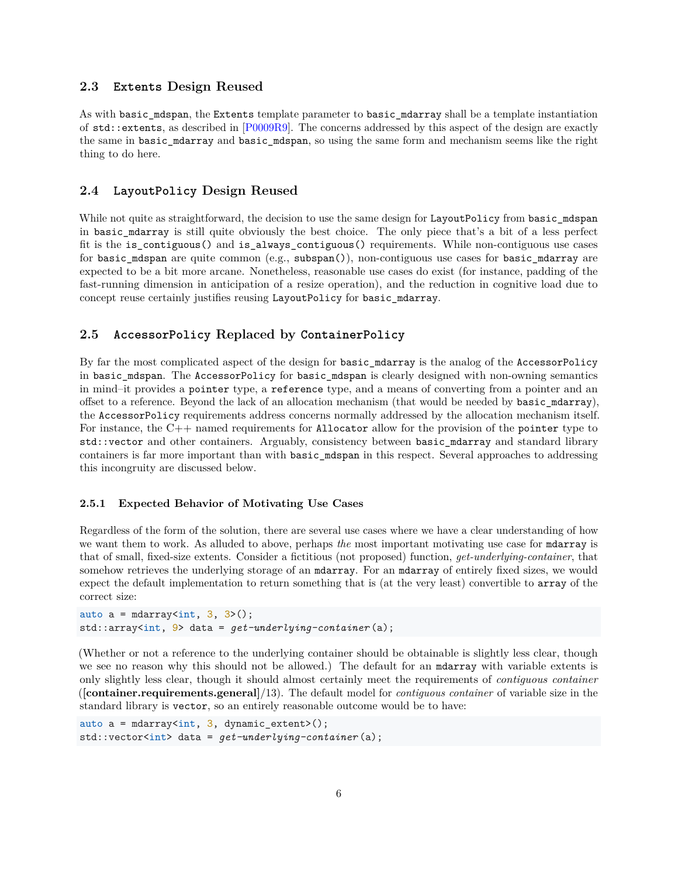#### <span id="page-5-0"></span>**2.3 Extents Design Reused**

As with basic\_mdspan, the Extents template parameter to basic\_mdarray shall be a template instantiation of std::extents, as described in [\[P0009R9\]](#page-12-2). The concerns addressed by this aspect of the design are exactly the same in basic\_mdarray and basic\_mdspan, so using the same form and mechanism seems like the right thing to do here.

#### <span id="page-5-1"></span>**2.4 LayoutPolicy Design Reused**

While not quite as straightforward, the decision to use the same design for LayoutPolicy from basic\_mdspan in basic\_mdarray is still quite obviously the best choice. The only piece that's a bit of a less perfect fit is the is contiguous() and is always contiguous() requirements. While non-contiguous use cases for basic\_mdspan are quite common (e.g., subspan()), non-contiguous use cases for basic\_mdarray are expected to be a bit more arcane. Nonetheless, reasonable use cases do exist (for instance, padding of the fast-running dimension in anticipation of a resize operation), and the reduction in cognitive load due to concept reuse certainly justifies reusing LayoutPolicy for basic\_mdarray.

### <span id="page-5-2"></span>**2.5 AccessorPolicy Replaced by ContainerPolicy**

By far the most complicated aspect of the design for basic\_mdarray is the analog of the AccessorPolicy in basic\_mdspan. The AccessorPolicy for basic\_mdspan is clearly designed with non-owning semantics in mind–it provides a pointer type, a reference type, and a means of converting from a pointer and an offset to a reference. Beyond the lack of an allocation mechanism (that would be needed by basic\_mdarray), the AccessorPolicy requirements address concerns normally addressed by the allocation mechanism itself. For instance, the  $C_{++}$  named requirements for Allocator allow for the provision of the pointer type to std::vector and other containers. Arguably, consistency between basic mdarray and standard library containers is far more important than with basic\_mdspan in this respect. Several approaches to addressing this incongruity are discussed below.

#### <span id="page-5-3"></span>**2.5.1 Expected Behavior of Motivating Use Cases**

Regardless of the form of the solution, there are several use cases where we have a clear understanding of how we want them to work. As alluded to above, perhaps *the* most important motivating use case for mdarray is that of small, fixed-size extents. Consider a fictitious (not proposed) function, *get-underlying-container*, that somehow retrieves the underlying storage of an mdarray. For an mdarray of entirely fixed sizes, we would expect the default implementation to return something that is (at the very least) convertible to array of the correct size:

```
auto a = \text{mdarray}\langle\text{int, 3, 3}\rangle();
std::array<int, 9> data = get-underlying-container (a);
```
(Whether or not a reference to the underlying container should be obtainable is slightly less clear, though we see no reason why this should not be allowed.) The default for an mdarray with variable extents is only slightly less clear, though it should almost certainly meet the requirements of *contiguous container* (**[container.requirements.general]**/13). The default model for *contiguous container* of variable size in the standard library is vector, so an entirely reasonable outcome would be to have:

```
auto a = \text{mdarray}\langle \text{int, 3, dynamic\_extent} \ranglestd::vector<int> data = get-underlying-container (a);
```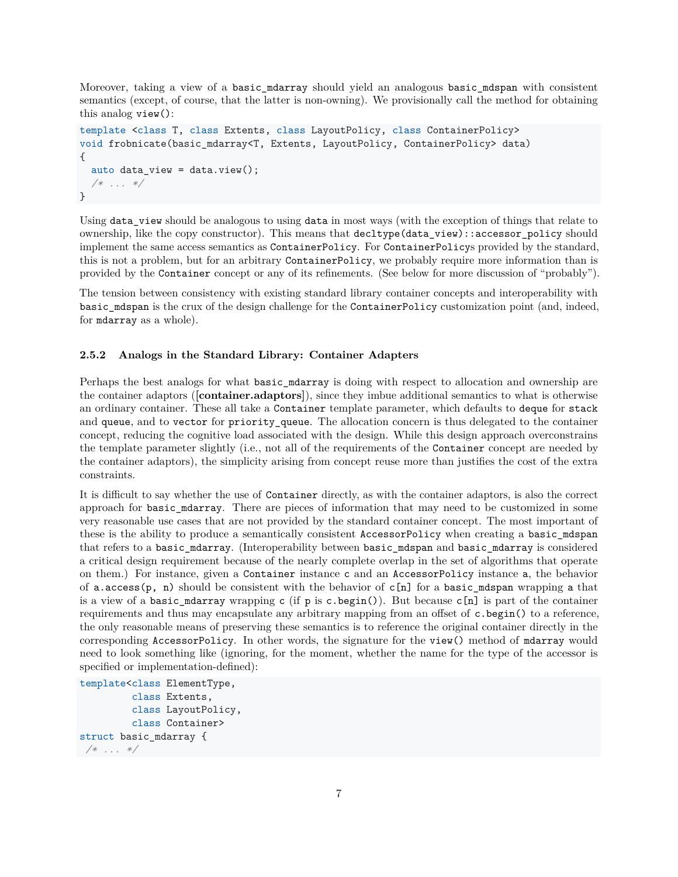Moreover, taking a view of a basic mdarray should yield an analogous basic mdspan with consistent semantics (except, of course, that the latter is non-owning). We provisionally call the method for obtaining this analog view():

```
template <class T, class Extents, class LayoutPolicy, class ContainerPolicy>
void frobnicate(basic_mdarray<T, Extents, LayoutPolicy, ContainerPolicy> data)
{
  auto data_view = data.view();
  /* ... */
}
```
Using data\_view should be analogous to using data in most ways (with the exception of things that relate to ownership, like the copy constructor). This means that decltype(data\_view)::accessor\_policy should implement the same access semantics as ContainerPolicy. For ContainerPolicys provided by the standard, this is not a problem, but for an arbitrary ContainerPolicy, we probably require more information than is provided by the Container concept or any of its refinements. (See below for more discussion of "probably").

The tension between consistency with existing standard library container concepts and interoperability with basic mdspan is the crux of the design challenge for the ContainerPolicy customization point (and, indeed, for mdarray as a whole).

#### <span id="page-6-0"></span>**2.5.2 Analogs in the Standard Library: Container Adapters**

Perhaps the best analogs for what basic\_mdarray is doing with respect to allocation and ownership are the container adaptors (**[container.adaptors]**), since they imbue additional semantics to what is otherwise an ordinary container. These all take a Container template parameter, which defaults to deque for stack and queue, and to vector for priority\_queue. The allocation concern is thus delegated to the container concept, reducing the cognitive load associated with the design. While this design approach overconstrains the template parameter slightly (i.e., not all of the requirements of the Container concept are needed by the container adaptors), the simplicity arising from concept reuse more than justifies the cost of the extra constraints.

It is difficult to say whether the use of Container directly, as with the container adaptors, is also the correct approach for basic\_mdarray. There are pieces of information that may need to be customized in some very reasonable use cases that are not provided by the standard container concept. The most important of these is the ability to produce a semantically consistent AccessorPolicy when creating a basic\_mdspan that refers to a basic\_mdarray. (Interoperability between basic\_mdspan and basic\_mdarray is considered a critical design requirement because of the nearly complete overlap in the set of algorithms that operate on them.) For instance, given a Container instance c and an AccessorPolicy instance a, the behavior of a.access(p, n) should be consistent with the behavior of  $c[n]$  for a basic\_mdspan wrapping a that is a view of a basic\_mdarray wrapping c (if p is c.begin()). But because c[n] is part of the container requirements and thus may encapsulate any arbitrary mapping from an offset of c.begin() to a reference, the only reasonable means of preserving these semantics is to reference the original container directly in the corresponding AccessorPolicy. In other words, the signature for the view() method of mdarray would need to look something like (ignoring, for the moment, whether the name for the type of the accessor is specified or implementation-defined):

```
template<class ElementType,
         class Extents,
         class LayoutPolicy,
         class Container>
struct basic_mdarray {
/* ... */
```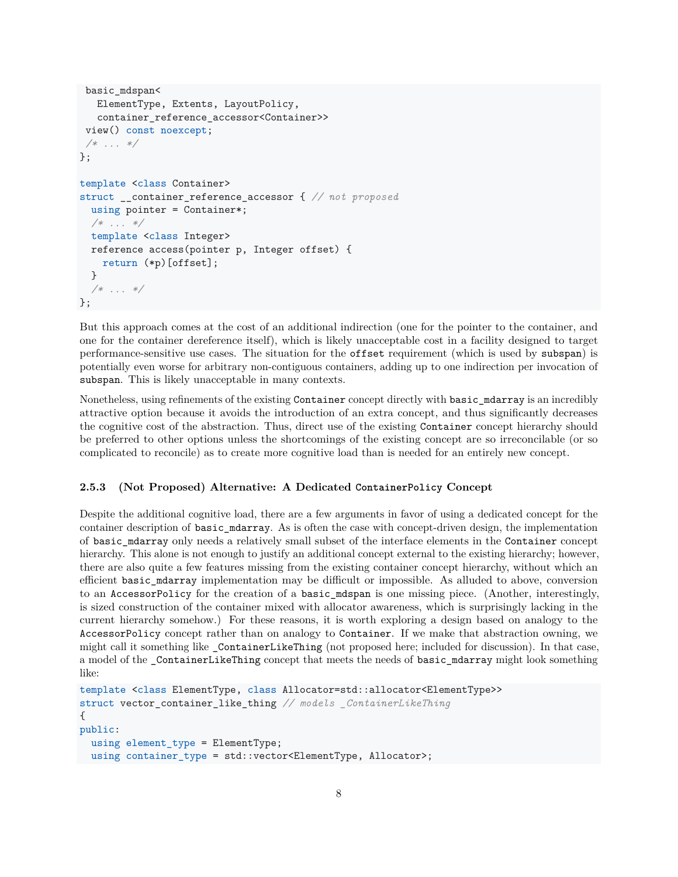```
basic mdspan<
  ElementType, Extents, LayoutPolicy,
   container reference accessor<Container>>
view() const noexcept;
/* ... */
};
template <class Container>
struct __container_reference_accessor { // not proposed
  using pointer = Container*;
  /* ... */
  template <class Integer>
  reference access(pointer p, Integer offset) {
    return (*p)[offset];
  }
  /* ... */
};
```
But this approach comes at the cost of an additional indirection (one for the pointer to the container, and one for the container dereference itself), which is likely unacceptable cost in a facility designed to target performance-sensitive use cases. The situation for the offset requirement (which is used by subspan) is potentially even worse for arbitrary non-contiguous containers, adding up to one indirection per invocation of subspan. This is likely unacceptable in many contexts.

Nonetheless, using refinements of the existing Container concept directly with basic\_mdarray is an incredibly attractive option because it avoids the introduction of an extra concept, and thus significantly decreases the cognitive cost of the abstraction. Thus, direct use of the existing Container concept hierarchy should be preferred to other options unless the shortcomings of the existing concept are so irreconcilable (or so complicated to reconcile) as to create more cognitive load than is needed for an entirely new concept.

#### <span id="page-7-0"></span>**2.5.3 (Not Proposed) Alternative: A Dedicated ContainerPolicy Concept**

Despite the additional cognitive load, there are a few arguments in favor of using a dedicated concept for the container description of basic\_mdarray. As is often the case with concept-driven design, the implementation of basic\_mdarray only needs a relatively small subset of the interface elements in the Container concept hierarchy. This alone is not enough to justify an additional concept external to the existing hierarchy; however, there are also quite a few features missing from the existing container concept hierarchy, without which an efficient basic\_mdarray implementation may be difficult or impossible. As alluded to above, conversion to an AccessorPolicy for the creation of a basic\_mdspan is one missing piece. (Another, interestingly, is sized construction of the container mixed with allocator awareness, which is surprisingly lacking in the current hierarchy somehow.) For these reasons, it is worth exploring a design based on analogy to the AccessorPolicy concept rather than on analogy to Container. If we make that abstraction owning, we might call it something like ContainerLikeThing (not proposed here; included for discussion). In that case, a model of the ContainerLikeThing concept that meets the needs of basic mdarray might look something like:

```
template <class ElementType, class Allocator=std::allocator<ElementType>>
struct vector_container_like_thing // models _ContainerLikeThing
{
public:
 using element_type = ElementType;
 using container_type = std::vector<ElementType, Allocator>;
```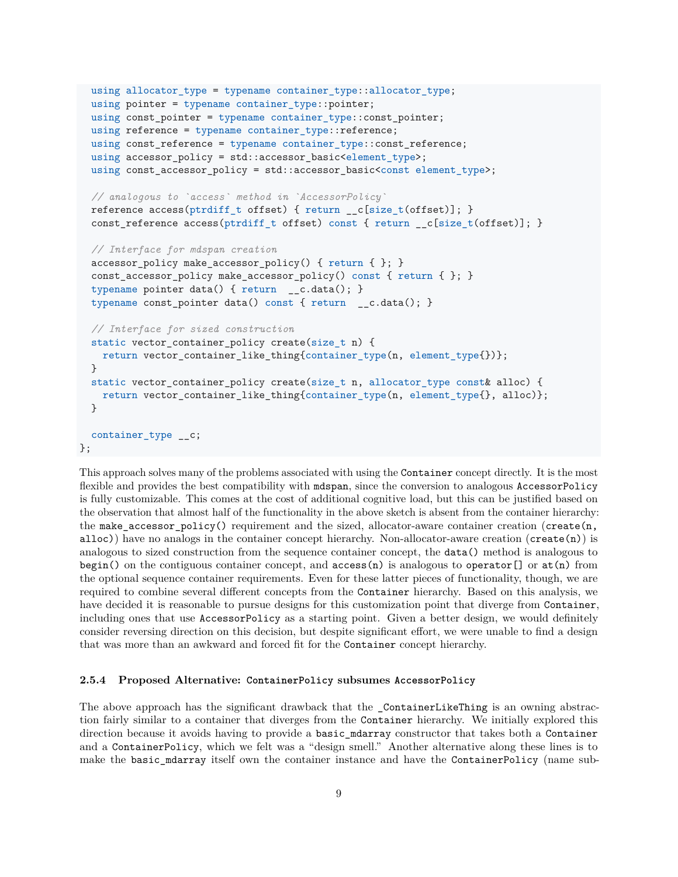```
using allocator_type = typename container_type::allocator_type;
  using pointer = typename container_type::pointer;
  using const_pointer = typename container_type::const_pointer;
  using reference = typename container_type::reference;
  using const_reference = typename container_type::const_reference;
  using accessor_policy = std::accessor_basic<element_type>;
  using const_accessor_policy = std::accessor_basic<const element_type>;
  // analogous to `access` method in `AccessorPolicy`
  reference access(ptrdiff_t offset) { return __c[size_t(offset)]; }
  const_reference access(ptrdiff_t offset) const { return __c[size_t(offset)]; }
  // Interface for mdspan creation
  accessor_policy make_accessor_policy() { return { }; }
  const_accessor_policy make_accessor_policy() const { return { }; }
  typename pointer data() { return __c.data(); }
  typename const_pointer data() const { return __c.data(); }
  // Interface for sized construction
  static vector_container_policy create(size_t n) {
   return vector_container_like_thing{container_type(n, element_type{})};
  }
  static vector_container_policy create(size_t n, allocator_type const& alloc) {
   return vector_container_like_thing{container_type(n, element_type{}, alloc)};
  }
  container_type __c;
};
```
This approach solves many of the problems associated with using the Container concept directly. It is the most flexible and provides the best compatibility with mdspan, since the conversion to analogous AccessorPolicy is fully customizable. This comes at the cost of additional cognitive load, but this can be justified based on the observation that almost half of the functionality in the above sketch is absent from the container hierarchy: the make accessor policy() requirement and the sized, allocator-aware container creation (create(n, alloc)) have no analogs in the container concept hierarchy. Non-allocator-aware creation  $(c\text{rate}(n))$  is analogous to sized construction from the sequence container concept, the data() method is analogous to begin() on the contiguous container concept, and  $access(n)$  is analogous to operator[] or at(n) from the optional sequence container requirements. Even for these latter pieces of functionality, though, we are required to combine several different concepts from the Container hierarchy. Based on this analysis, we have decided it is reasonable to pursue designs for this customization point that diverge from Container, including ones that use AccessorPolicy as a starting point. Given a better design, we would definitely consider reversing direction on this decision, but despite significant effort, we were unable to find a design that was more than an awkward and forced fit for the Container concept hierarchy.

#### <span id="page-8-0"></span>**2.5.4 Proposed Alternative: ContainerPolicy subsumes AccessorPolicy**

The above approach has the significant drawback that the \_ContainerLikeThing is an owning abstraction fairly similar to a container that diverges from the Container hierarchy. We initially explored this direction because it avoids having to provide a basic\_mdarray constructor that takes both a Container and a ContainerPolicy, which we felt was a "design smell." Another alternative along these lines is to make the basic\_mdarray itself own the container instance and have the ContainerPolicy (name sub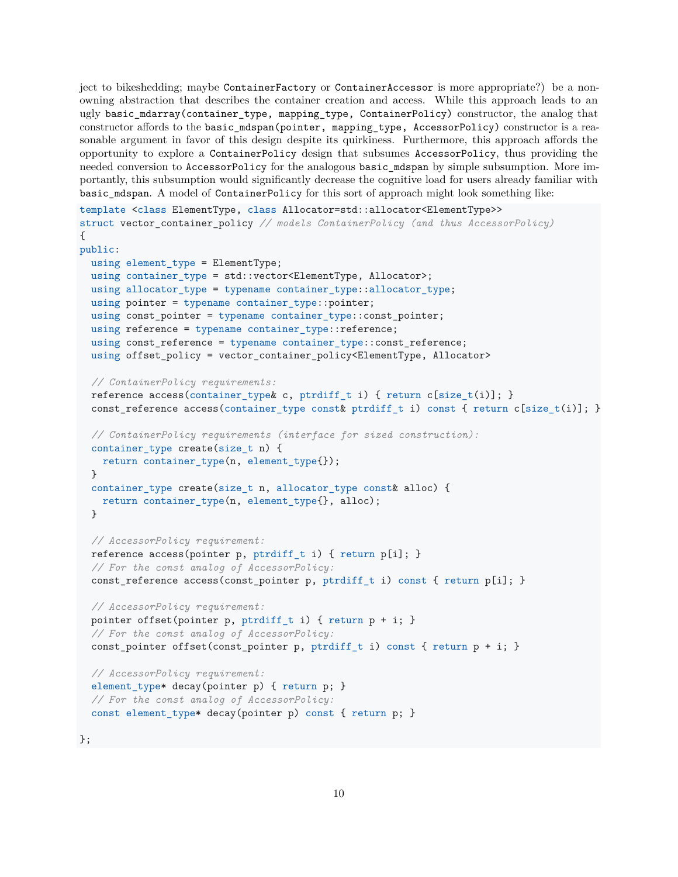ject to bikeshedding; maybe ContainerFactory or ContainerAccessor is more appropriate?) be a nonowning abstraction that describes the container creation and access. While this approach leads to an ugly basic\_mdarray(container\_type, mapping\_type, ContainerPolicy) constructor, the analog that constructor affords to the basic\_mdspan(pointer, mapping\_type, AccessorPolicy) constructor is a reasonable argument in favor of this design despite its quirkiness. Furthermore, this approach affords the opportunity to explore a ContainerPolicy design that subsumes AccessorPolicy, thus providing the needed conversion to AccessorPolicy for the analogous basic\_mdspan by simple subsumption. More importantly, this subsumption would significantly decrease the cognitive load for users already familiar with basic\_mdspan. A model of ContainerPolicy for this sort of approach might look something like:

```
template <class ElementType, class Allocator=std::allocator<ElementType>>
struct vector_container_policy // models ContainerPolicy (and thus AccessorPolicy)
{
public:
  using element_type = ElementType;
  using container_type = std::vector<ElementType, Allocator>;
  using allocator_type = typename container_type::allocator_type;
  using pointer = typename container_type::pointer;
  using const_pointer = typename container_type::const_pointer;
  using reference = typename container_type::reference;
  using const_reference = typename container_type::const_reference;
  using offset_policy = vector_container_policy<ElementType, Allocator>
  // ContainerPolicy requirements:
  reference access(container_type c, ptrdiff_t i) { return c[size_t(i)]; }
  const_reference access(container_type const& ptrdiff_t i) const { return c[size_t(i)]; }
  // ContainerPolicy requirements (interface for sized construction):
  container_type create(size_t n) {
    return container_type(n, element_type{});
  }
  container_type create(size_t n, allocator_type const& alloc) {
    return container_type(n, element_type{}, alloc);
  }
  // AccessorPolicy requirement:
  reference access(pointer p, ptrdiff_t i) { return p[i]; }
  // For the const analog of AccessorPolicy:
  const_reference access(const_pointer p, ptrdiff_t i) const { return p[i]; }
  // AccessorPolicy requirement:
  pointer offset(pointer p, ptrdiff_t i) { return p + i; }
  // For the const analog of AccessorPolicy:
  const_pointer offset(const_pointer p, ptrdiff_t i) const { return p + i; }
  // AccessorPolicy requirement:
  element_type* decay(pointer p) { return p; }
  // For the const analog of AccessorPolicy:
  const element_type* decay(pointer p) const { return p; }
```
};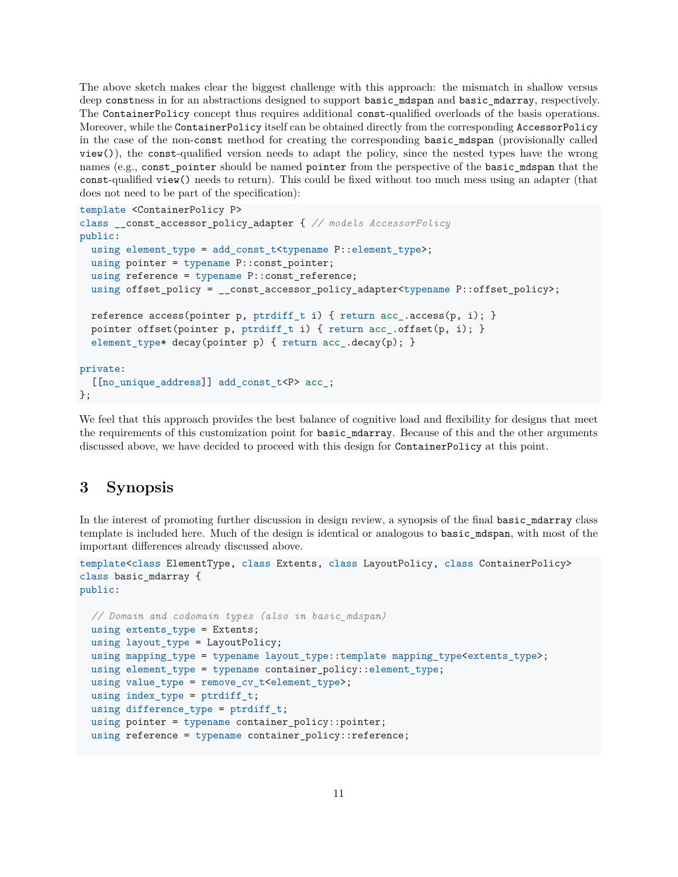The above sketch makes clear the biggest challenge with this approach: the mismatch in shallow versus deep constness in for an abstractions designed to support basic\_mdspan and basic\_mdarray, respectively. The ContainerPolicy concept thus requires additional const-qualified overloads of the basis operations. Moreover, while the ContainerPolicy itself can be obtained directly from the corresponding AccessorPolicy in the case of the non-const method for creating the corresponding basic\_mdspan (provisionally called view()), the const-qualified version needs to adapt the policy, since the nested types have the wrong names (e.g., const pointer should be named pointer from the perspective of the basic mdspan that the const-qualified view() needs to return). This could be fixed without too much mess using an adapter (that does not need to be part of the specification):

```
template <ContainerPolicy P>
class __const_accessor_policy_adapter { // models AccessorPolicy
public:
  using element_type = add_const_t<typename P::element_type>;
  using pointer = typename P::const_pointer;
  using reference = typename P:: const_reference;
  using offset_policy = __const_accessor_policy_adapter<typename P::offset_policy>;
  reference access(pointer p, ptrdiff_t i) { return acc_.access(p, i); }
  pointer offset(pointer p, ptrdiff_t i) { return acc_.offset(p, i); }
  element_type* decay(pointer p) { return acc_.decay(p); }
private:
  [[no_unique_address]] add_const_t<P> acc_;
};
```
We feel that this approach provides the best balance of cognitive load and flexibility for designs that meet the requirements of this customization point for basic\_mdarray. Because of this and the other arguments discussed above, we have decided to proceed with this design for ContainerPolicy at this point.

## <span id="page-10-0"></span>**3 Synopsis**

In the interest of promoting further discussion in design review, a synopsis of the final basic\_mdarray class template is included here. Much of the design is identical or analogous to basic\_mdspan, with most of the important differences already discussed above.

```
template<class ElementType, class Extents, class LayoutPolicy, class ContainerPolicy>
class basic_mdarray {
public:
```

```
// Domain and codomain types (also in basic_mdspan)
using extents_type = Extents;
using layout_type = LayoutPolicy;
using mapping_type = typename layout_type::template mapping_type<extents_type>;
using element_type = typename container_policy::element_type;
using value_type = remove_cv_t<element_type>;
using index_type = putdiff_t;using difference_type = ptrdiff_t;
using pointer = typename container_policy::pointer;
using reference = typename container_policy::reference;
```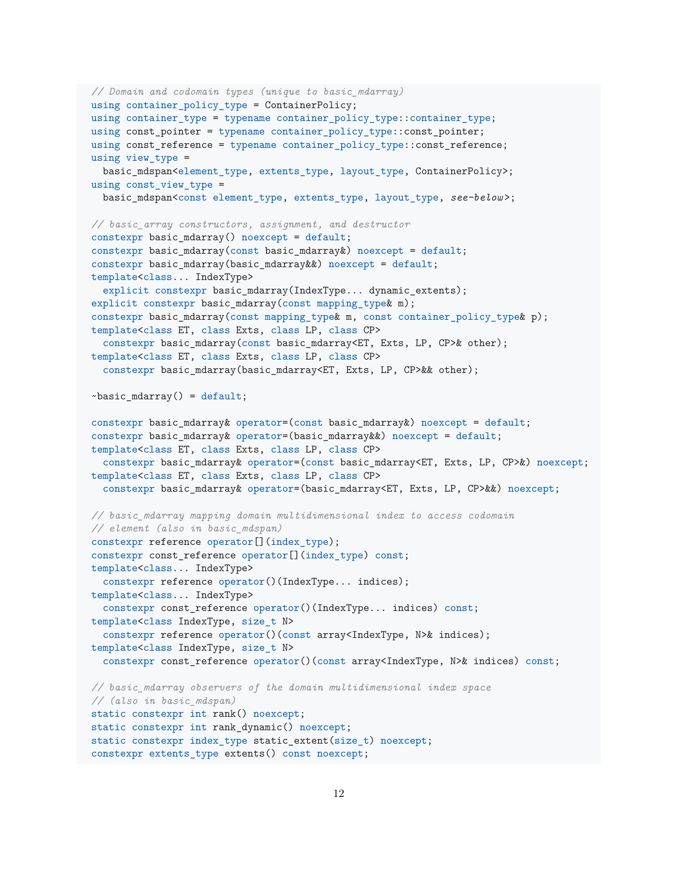```
// Domain and codomain types (unique to basic_mdarray)
using container_policy_type = ContainerPolicy;
using container_type = typename container_policy_type::container_type;
using const pointer = typename container policy type::const pointer;
using const_reference = typename container_policy_type::const_reference;
using view_type =
  basic_mdspan<element_type, extents_type, layout_type, ContainerPolicy>;
using const view type =basic_mdspan<const element_type, extents_type, layout_type, see-below >;
// basic_array constructors, assignment, and destructor
constexpr basic_mdarray() noexcept = default;
constexpr basic_mdarray(const basic_mdarray&) noexcept = default;
constexpr basic_mdarray(basic_mdarray&&) noexcept = default;
template<class... IndexType>
  explicit constexpr basic_mdarray(IndexType... dynamic_extents);
explicit constexpr basic_mdarray(const mapping_type& m);
constexpr basic_mdarray(const mapping_type& m, const container_policy_type& p);
template<class ET, class Exts, class LP, class CP>
  constexpr basic_mdarray(const basic_mdarray<ET, Exts, LP, CP>& other);
template<class ET, class Exts, class LP, class CP>
  constexpr basic_mdarray(basic_mdarray<ET, Exts, LP, CP>&& other);
~basic_mdarray() = default;
constexpr basic mdarray& operator=(const basic mdarray&) noexcept = default;
constexpr basic_mdarray& operator=(basic_mdarray&&) noexcept = default;
template<class ET, class Exts, class LP, class CP>
  constexpr basic_mdarray& operator=(const basic_mdarray<ET, Exts, LP, CP>&) noexcept;
template<class ET, class Exts, class LP, class CP>
  constexpr basic_mdarray& operator=(basic_mdarray<ET, Exts, LP, CP>&&) noexcept;
// basic_mdarray mapping domain multidimensional index to access codomain
// element (also in basic_mdspan)
constexpr reference operator[](index_type);
constexpr const_reference operator[](index_type) const;
template<class... IndexType>
  constexpr reference operator()(IndexType... indices);
template<class... IndexType>
  constexpr const_reference operator()(IndexType... indices) const;
template<class IndexType, size_t N>
  constexpr reference operator()(const array<IndexType, N>& indices);
template<class IndexType, size_t N>
  constexpr const reference operator()(const array<IndexType, N>& indices) const;
// basic_mdarray observers of the domain multidimensional index space
// (also in basic_mdspan)
static constexpr int rank() noexcept;
static constexpr int rank_dynamic() noexcept;
static constexpr index_type static_extent(size_t) noexcept;
constexpr extents_type extents() const noexcept;
```

```
12
```